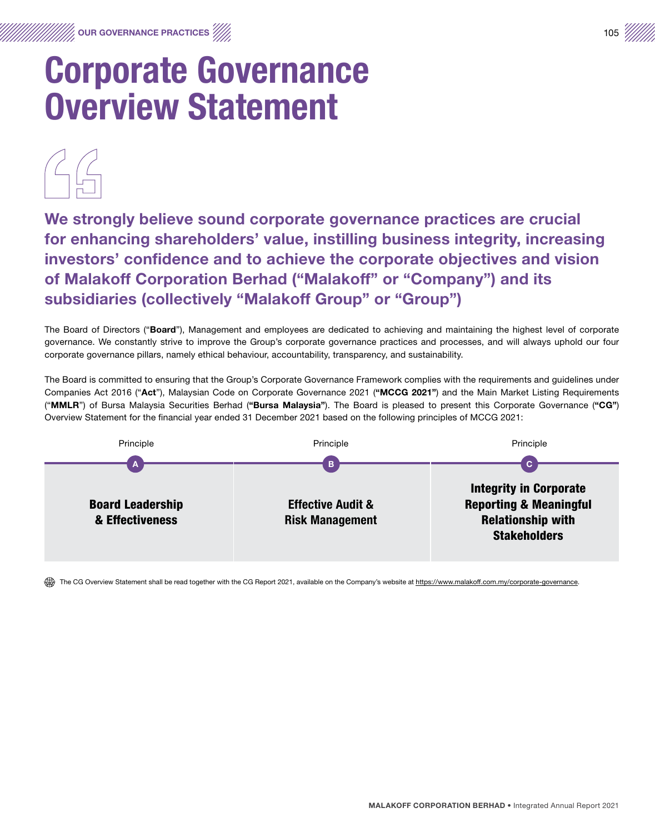We strongly believe sound corporate governance practices are crucial for enhancing shareholders' value, instilling business integrity, increasing investors' confidence and to achieve the corporate objectives and vision of Malakoff Corporation Berhad ("Malakoff" or "Company") and its subsidiaries (collectively "Malakoff Group" or "Group")

The Board of Directors ("Board"), Management and employees are dedicated to achieving and maintaining the highest level of corporate governance. We constantly strive to improve the Group's corporate governance practices and processes, and will always uphold our four corporate governance pillars, namely ethical behaviour, accountability, transparency, and sustainability.

The Board is committed to ensuring that the Group's Corporate Governance Framework complies with the requirements and guidelines under Companies Act 2016 ("Act"), Malaysian Code on Corporate Governance 2021 ("MCCG 2021") and the Main Market Listing Requirements ("MMLR") of Bursa Malaysia Securities Berhad ("Bursa Malaysia"). The Board is pleased to present this Corporate Governance ("CG") Overview Statement for the financial year ended 31 December 2021 based on the following principles of MCCG 2021:



The CG Overview Statement shall be read together with the CG Report 2021, available on the Company's website at https://www.malakoff.com.my/corporate-governance.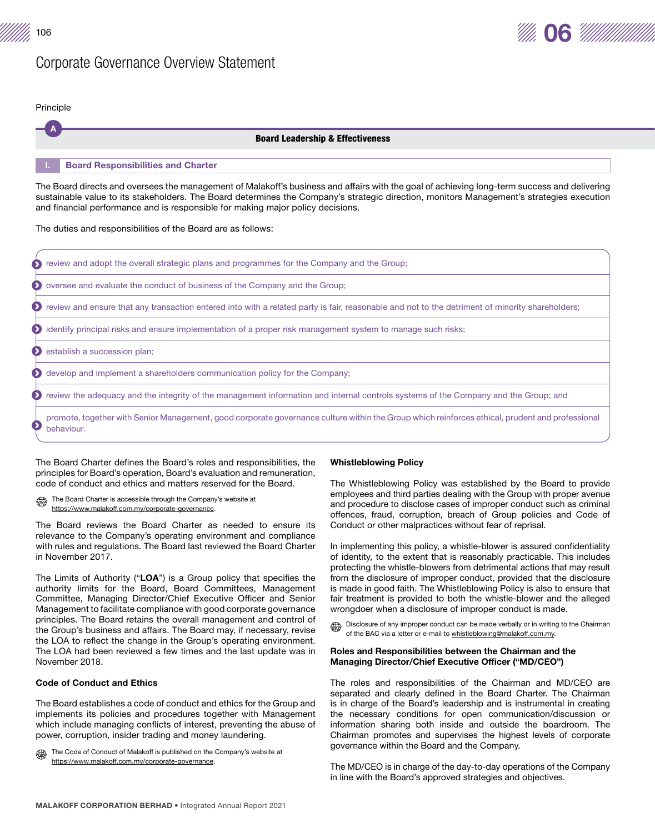$\frac{1}{106}$  06



Principle



The Board directs and oversees the management of Malakoff's business and affairs with the goal of achieving long-term success and delivering sustainable value to its stakeholders. The Board determines the Company's strategic direction, monitors Management's strategies execution and financial performance and is responsible for making major policy decisions.

The duties and responsibilities of the Board are as follows:

|           | <b>S</b> review and adopt the overall strategic plans and programmes for the Company and the Group;                                                           |
|-----------|---------------------------------------------------------------------------------------------------------------------------------------------------------------|
|           | ◆ oversee and evaluate the conduct of business of the Company and the Group;                                                                                  |
|           | ◆ review and ensure that any transaction entered into with a related party is fair, reasonable and not to the detriment of minority shareholders;             |
|           | (b) identify principal risks and ensure implementation of a proper risk management system to manage such risks;                                               |
|           | Sestablish a succession plan;                                                                                                                                 |
|           | <b>Example 3</b> develop and implement a shareholders communication policy for the Company;                                                                   |
|           | <b>O</b> review the adequacy and the integrity of the management information and internal controls systems of the Company and the Group; and                  |
| $\bullet$ | promote, together with Senior Management, good corporate governance culture within the Group which reinforces ethical, prudent and professional<br>behaviour. |

The Board Charter defines the Board's roles and responsibilities, the principles for Board's operation, Board's evaluation and remuneration, code of conduct and ethics and matters reserved for the Board.

The Board Charter is accessible through the Company's website at https://www.malakoff.com.my/corporate-governance.

The Board reviews the Board Charter as needed to ensure its relevance to the Company's operating environment and compliance with rules and regulations. The Board last reviewed the Board Charter in November 2017.

The Limits of Authority ("LOA") is a Group policy that specifies the authority limits for the Board, Board Committees, Management Committee, Managing Director/Chief Executive Officer and Senior Management to facilitate compliance with good corporate governance principles. The Board retains the overall management and control of the Group's business and affairs. The Board may, if necessary, revise the LOA to reflect the change in the Group's operating environment. The LOA had been reviewed a few times and the last update was in November 2018.

#### Code of Conduct and Ethics

The Board establishes a code of conduct and ethics for the Group and implements its policies and procedures together with Management which include managing conflicts of interest, preventing the abuse of power, corruption, insider trading and money laundering.

The Code of Conduct of Malakoff is published on the Company's website at ₩ https://www.malakoff.com.my/corporate-governance.

#### Whistleblowing Policy

The Whistleblowing Policy was established by the Board to provide employees and third parties dealing with the Group with proper avenue and procedure to disclose cases of improper conduct such as criminal offences, fraud, corruption, breach of Group policies and Code of Conduct or other malpractices without fear of reprisal.

In implementing this policy, a whistle-blower is assured confidentiality of identity, to the extent that is reasonably practicable. This includes protecting the whistle-blowers from detrimental actions that may result from the disclosure of improper conduct, provided that the disclosure is made in good faith. The Whistleblowing Policy is also to ensure that fair treatment is provided to both the whistle-blower and the alleged wrongdoer when a disclosure of improper conduct is made.

Disclosure of any improper conduct can be made verbally or in writing to the Chairman of the BAC via a letter or e-mail to whistleblowing@malakoff.com.my.

# Roles and Responsibilities between the Chairman and the Managing Director/Chief Executive Officer ("MD/CEO")

The roles and responsibilities of the Chairman and MD/CEO are separated and clearly defined in the Board Charter. The Chairman is in charge of the Board's leadership and is instrumental in creating the necessary conditions for open communication/discussion or information sharing both inside and outside the boardroom. The Chairman promotes and supervises the highest levels of corporate governance within the Board and the Company.

The MD/CEO is in charge of the day-to-day operations of the Company in line with the Board's approved strategies and objectives.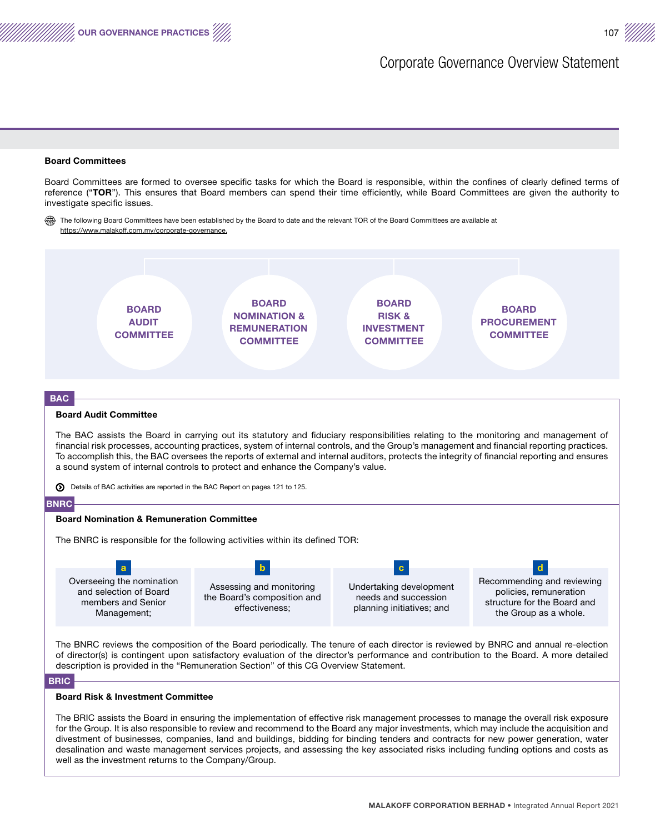#### Board Committees

OUR GOVERNANCE PRACTICES

Board Committees are formed to oversee specific tasks for which the Board is responsible, within the confines of clearly defined terms of reference ("TOR"). This ensures that Board members can spend their time efficiently, while Board Committees are given the authority to investigate specific issues.

₩ The following Board Committees have been established by the Board to date and the relevant TOR of the Board Committees are available at https://www.malakoff.com.my/corporate-governance.



divestment of businesses, companies, land and buildings, bidding for binding tenders and contracts for new power generation, water desalination and waste management services projects, and assessing the key associated risks including funding options and costs as well as the investment returns to the Company/Group.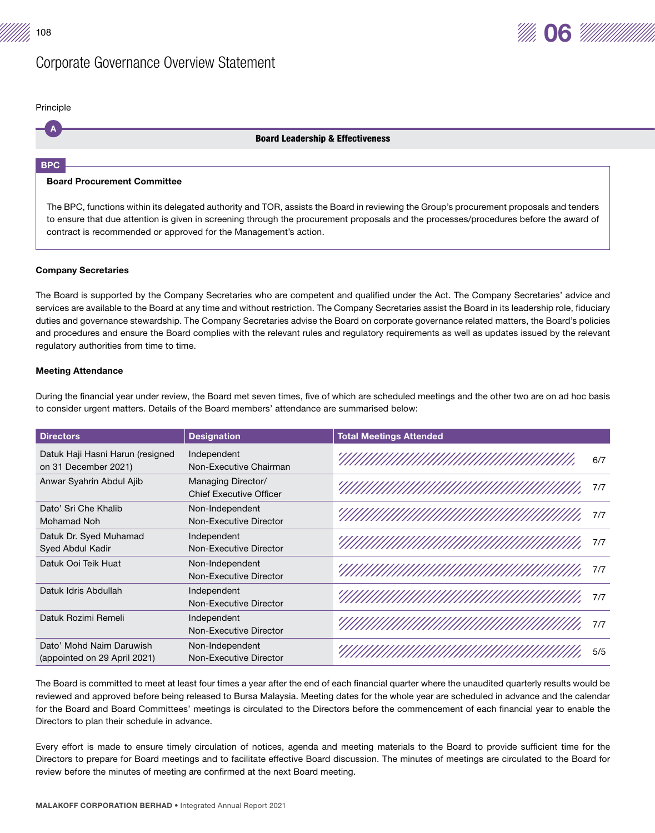A Principle

## Board Leadership & Effectiveness

#### BPC

# Board Procurement Committee

The BPC, functions within its delegated authority and TOR, assists the Board in reviewing the Group's procurement proposals and tenders to ensure that due attention is given in screening through the procurement proposals and the processes/procedures before the award of contract is recommended or approved for the Management's action.

# Company Secretaries

The Board is supported by the Company Secretaries who are competent and qualified under the Act. The Company Secretaries' advice and services are available to the Board at any time and without restriction. The Company Secretaries assist the Board in its leadership role, fiduciary duties and governance stewardship. The Company Secretaries advise the Board on corporate governance related matters, the Board's policies and procedures and ensure the Board complies with the relevant rules and regulatory requirements as well as updates issued by the relevant regulatory authorities from time to time.

# Meeting Attendance

During the financial year under review, the Board met seven times, five of which are scheduled meetings and the other two are on ad hoc basis to consider urgent matters. Details of the Board members' attendance are summarised below:

| <b>Directors</b>                                         | <b>Designation</b>                                   | <b>Total Meetings Attended</b> |
|----------------------------------------------------------|------------------------------------------------------|--------------------------------|
| Datuk Haji Hasni Harun (resigned<br>on 31 December 2021) | Independent<br>Non-Executive Chairman                | УЛЛЛЛЛЛЛЛЛЛЛЛЛЛЛЛЛ<br>6/7      |
| Anwar Syahrin Abdul Ajib                                 | Managing Director/<br><b>Chief Executive Officer</b> | 7/7                            |
| Dato' Sri Che Khalib<br>Mohamad Noh                      | Non-Independent<br>Non-Executive Director            | 7/7                            |
| Datuk Dr. Syed Muhamad<br>Syed Abdul Kadir               | Independent<br>Non-Executive Director                | 7/7                            |
| Datuk Ooi Teik Huat                                      | Non-Independent<br>Non-Executive Director            | 7/7                            |
| Datuk Idris Abdullah                                     | Independent<br>Non-Executive Director                | 7/7                            |
| Datuk Rozimi Remeli                                      | Independent<br>Non-Executive Director                | УЛЛЛЛЛЛЛЛЛЛЛЛЛЛЛЛЛЛ<br>7/7     |
| Dato' Mohd Naim Daruwish<br>(appointed on 29 April 2021) | Non-Independent<br>Non-Executive Director            | 5/5                            |

The Board is committed to meet at least four times a year after the end of each financial quarter where the unaudited quarterly results would be reviewed and approved before being released to Bursa Malaysia. Meeting dates for the whole year are scheduled in advance and the calendar for the Board and Board Committees' meetings is circulated to the Directors before the commencement of each financial year to enable the Directors to plan their schedule in advance.

Every effort is made to ensure timely circulation of notices, agenda and meeting materials to the Board to provide sufficient time for the Directors to prepare for Board meetings and to facilitate effective Board discussion. The minutes of meetings are circulated to the Board for review before the minutes of meeting are confirmed at the next Board meeting.

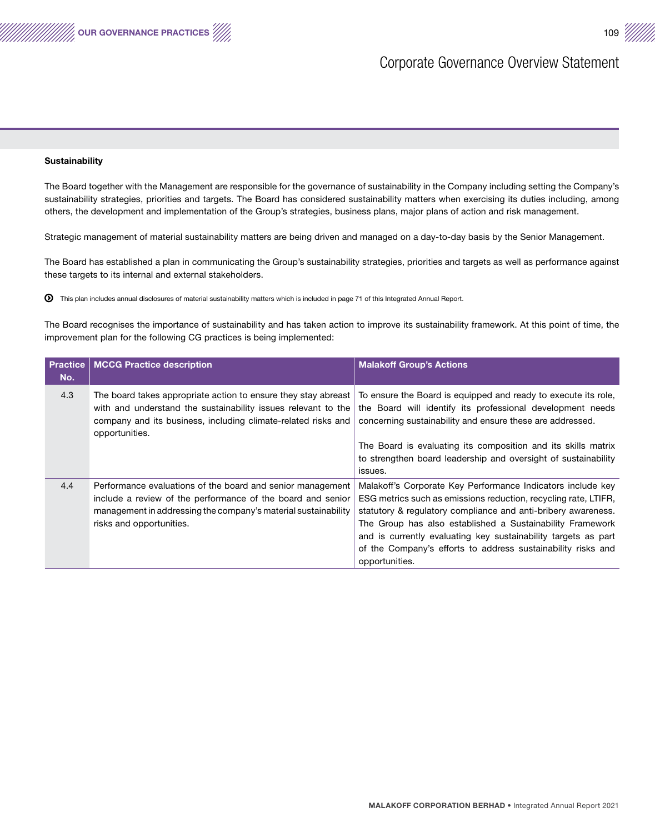

#### **Sustainability**

OUR GOVERNANCE PRACTICES /////

The Board together with the Management are responsible for the governance of sustainability in the Company including setting the Company's sustainability strategies, priorities and targets. The Board has considered sustainability matters when exercising its duties including, among others, the development and implementation of the Group's strategies, business plans, major plans of action and risk management.

Strategic management of material sustainability matters are being driven and managed on a day-to-day basis by the Senior Management.

The Board has established a plan in communicating the Group's sustainability strategies, priorities and targets as well as performance against these targets to its internal and external stakeholders.

This plan includes annual disclosures of material sustainability matters which is included in page 71 of this Integrated Annual Report.

The Board recognises the importance of sustainability and has taken action to improve its sustainability framework. At this point of time, the improvement plan for the following CG practices is being implemented:

| <b>Practice</b><br>No. | <b>MCCG Practice description</b>                                                                                                                                                                                        | <b>Malakoff Group's Actions</b>                                                                                                                                                                                                                                                                                                                                                                                  |  |  |
|------------------------|-------------------------------------------------------------------------------------------------------------------------------------------------------------------------------------------------------------------------|------------------------------------------------------------------------------------------------------------------------------------------------------------------------------------------------------------------------------------------------------------------------------------------------------------------------------------------------------------------------------------------------------------------|--|--|
| 4.3                    | The board takes appropriate action to ensure they stay abreast<br>with and understand the sustainability issues relevant to the<br>company and its business, including climate-related risks and<br>opportunities.      | To ensure the Board is equipped and ready to execute its role,<br>the Board will identify its professional development needs<br>concerning sustainability and ensure these are addressed.                                                                                                                                                                                                                        |  |  |
|                        |                                                                                                                                                                                                                         | The Board is evaluating its composition and its skills matrix<br>to strengthen board leadership and oversight of sustainability<br>issues.                                                                                                                                                                                                                                                                       |  |  |
| 4.4                    | Performance evaluations of the board and senior management<br>include a review of the performance of the board and senior<br>management in addressing the company's material sustainability<br>risks and opportunities. | Malakoff's Corporate Key Performance Indicators include key<br>ESG metrics such as emissions reduction, recycling rate, LTIFR,<br>statutory & regulatory compliance and anti-bribery awareness.<br>The Group has also established a Sustainability Framework<br>and is currently evaluating key sustainability targets as part<br>of the Company's efforts to address sustainability risks and<br>opportunities. |  |  |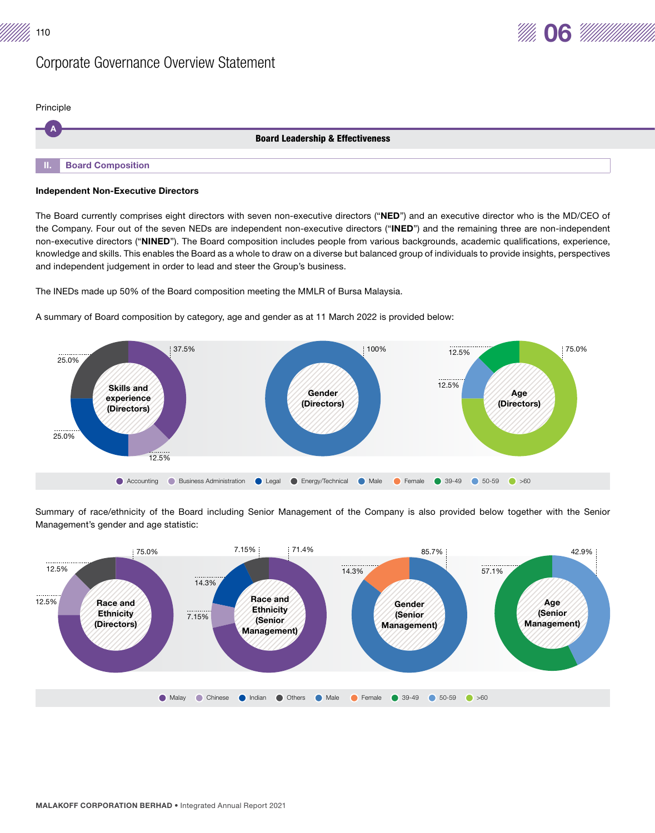

Principle

|           | <b>Board Leadership &amp; Effectiveness</b> |
|-----------|---------------------------------------------|
| - II. - I | <b>Board Composition</b>                    |
|           |                                             |

# Independent Non-Executive Directors

The Board currently comprises eight directors with seven non-executive directors ("NED") and an executive director who is the MD/CEO of the Company. Four out of the seven NEDs are independent non-executive directors ("INED") and the remaining three are non-independent non-executive directors ("NINED"). The Board composition includes people from various backgrounds, academic qualifications, experience, knowledge and skills. This enables the Board as a whole to draw on a diverse but balanced group of individuals to provide insights, perspectives and independent judgement in order to lead and steer the Group's business.

The INEDs made up 50% of the Board composition meeting the MMLR of Bursa Malaysia.

A summary of Board composition by category, age and gender as at 11 March 2022 is provided below:



Summary of race/ethnicity of the Board including Senior Management of the Company is also provided below together with the Senior Management's gender and age statistic:

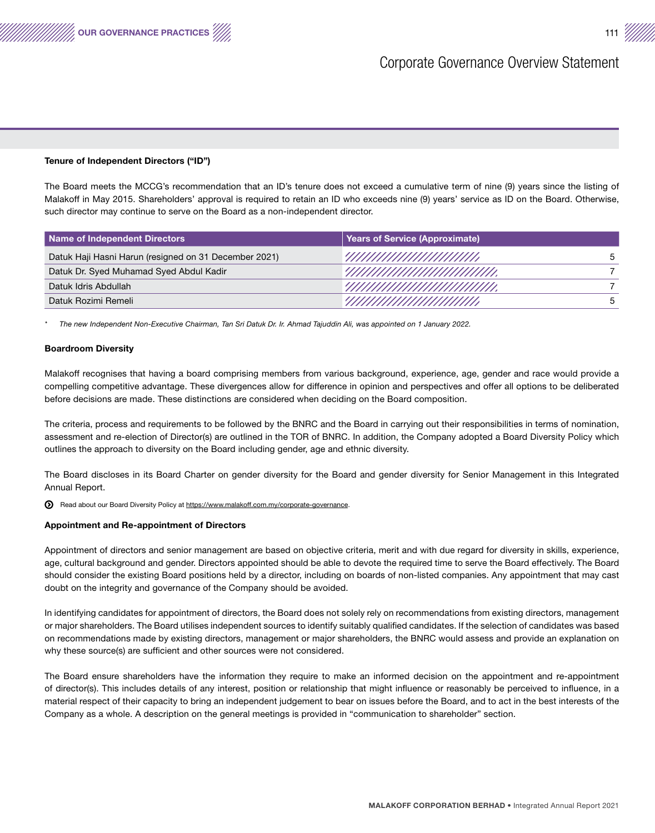# Tenure of Independent Directors ("ID")

OUR GOVERNANCE PRACTICES

The Board meets the MCCG's recommendation that an ID's tenure does not exceed a cumulative term of nine (9) years since the listing of Malakoff in May 2015. Shareholders' approval is required to retain an ID who exceeds nine (9) years' service as ID on the Board. Otherwise, such director may continue to serve on the Board as a non-independent director.

| Name of Independent Directors                         | Years of Service (Approximate) |              |  |  |  |
|-------------------------------------------------------|--------------------------------|--------------|--|--|--|
| Datuk Haji Hasni Harun (resigned on 31 December 2021) | ЧИШШШШШШ                       | $\mathbf{b}$ |  |  |  |
| Datuk Dr. Syed Muhamad Syed Abdul Kadir               | ЧШШШШШШШШ                      |              |  |  |  |
| Datuk Idris Abdullah                                  | ЧШШШШШШШШ                      |              |  |  |  |
| Datuk Rozimi Remeli                                   | ЧШШШШШШШ                       |              |  |  |  |

*\* The new Independent Non-Executive Chairman, Tan Sri Datuk Dr. Ir. Ahmad Tajuddin Ali, was appointed on 1 January 2022.*

# Boardroom Diversity

Malakoff recognises that having a board comprising members from various background, experience, age, gender and race would provide a compelling competitive advantage. These divergences allow for difference in opinion and perspectives and offer all options to be deliberated before decisions are made. These distinctions are considered when deciding on the Board composition.

The criteria, process and requirements to be followed by the BNRC and the Board in carrying out their responsibilities in terms of nomination, assessment and re-election of Director(s) are outlined in the TOR of BNRC. In addition, the Company adopted a Board Diversity Policy which outlines the approach to diversity on the Board including gender, age and ethnic diversity.

The Board discloses in its Board Charter on gender diversity for the Board and gender diversity for Senior Management in this Integrated Annual Report.

Read about our Board Diversity Policy at https://www.malakoff.com.my/corporate-governance.

# Appointment and Re-appointment of Directors

Appointment of directors and senior management are based on objective criteria, merit and with due regard for diversity in skills, experience, age, cultural background and gender. Directors appointed should be able to devote the required time to serve the Board effectively. The Board should consider the existing Board positions held by a director, including on boards of non-listed companies. Any appointment that may cast doubt on the integrity and governance of the Company should be avoided.

In identifying candidates for appointment of directors, the Board does not solely rely on recommendations from existing directors, management or major shareholders. The Board utilises independent sources to identify suitably qualified candidates. If the selection of candidates was based on recommendations made by existing directors, management or major shareholders, the BNRC would assess and provide an explanation on why these source(s) are sufficient and other sources were not considered.

The Board ensure shareholders have the information they require to make an informed decision on the appointment and re-appointment of director(s). This includes details of any interest, position or relationship that might influence or reasonably be perceived to influence, in a material respect of their capacity to bring an independent judgement to bear on issues before the Board, and to act in the best interests of the Company as a whole. A description on the general meetings is provided in "communication to shareholder" section.

MALAKOFF CORPORATION BERHAD • Integrated Annual Report 2021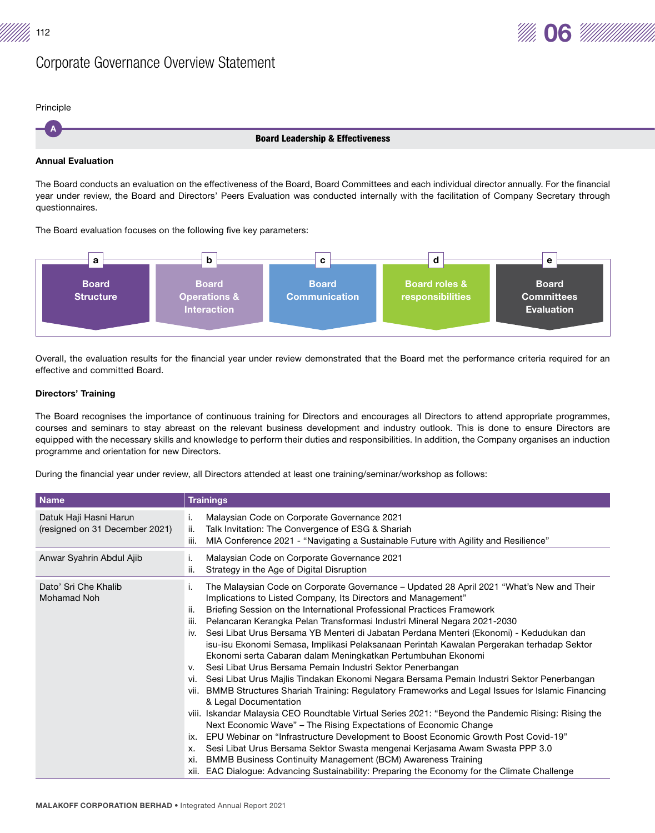



A Principle

## Board Leadership & Effectiveness

# Annual Evaluation

The Board conducts an evaluation on the effectiveness of the Board, Board Committees and each individual director annually. For the financial year under review, the Board and Directors' Peers Evaluation was conducted internally with the facilitation of Company Secretary through questionnaires.

# The Board evaluation focuses on the following five key parameters:



Overall, the evaluation results for the financial year under review demonstrated that the Board met the performance criteria required for an effective and committed Board.

# Directors' Training

The Board recognises the importance of continuous training for Directors and encourages all Directors to attend appropriate programmes, courses and seminars to stay abreast on the relevant business development and industry outlook. This is done to ensure Directors are equipped with the necessary skills and knowledge to perform their duties and responsibilities. In addition, the Company organises an induction programme and orientation for new Directors.

During the financial year under review, all Directors attended at least one training/seminar/workshop as follows:

| <b>Name</b>                                              | <b>Trainings</b>                                                                                                                                                                                                                                                                                                                                                                                                                                                                                                                                                                                                                                                                                                                                                                                                                                                                                                                                                                                                                                                                                                                                                                                                                                                                                                                                                                                                                                 |
|----------------------------------------------------------|--------------------------------------------------------------------------------------------------------------------------------------------------------------------------------------------------------------------------------------------------------------------------------------------------------------------------------------------------------------------------------------------------------------------------------------------------------------------------------------------------------------------------------------------------------------------------------------------------------------------------------------------------------------------------------------------------------------------------------------------------------------------------------------------------------------------------------------------------------------------------------------------------------------------------------------------------------------------------------------------------------------------------------------------------------------------------------------------------------------------------------------------------------------------------------------------------------------------------------------------------------------------------------------------------------------------------------------------------------------------------------------------------------------------------------------------------|
| Datuk Haji Hasni Harun<br>(resigned on 31 December 2021) | Malaysian Code on Corporate Governance 2021<br>Τ.<br>Talk Invitation: The Convergence of ESG & Shariah<br>ii.<br>MIA Conference 2021 - "Navigating a Sustainable Future with Agility and Resilience"<br>iii.                                                                                                                                                                                                                                                                                                                                                                                                                                                                                                                                                                                                                                                                                                                                                                                                                                                                                                                                                                                                                                                                                                                                                                                                                                     |
| Anwar Syahrin Abdul Ajib                                 | Malaysian Code on Corporate Governance 2021<br>ъ.<br>Strategy in the Age of Digital Disruption<br>ii.                                                                                                                                                                                                                                                                                                                                                                                                                                                                                                                                                                                                                                                                                                                                                                                                                                                                                                                                                                                                                                                                                                                                                                                                                                                                                                                                            |
| Dato' Sri Che Khalib<br>Mohamad Noh                      | The Malaysian Code on Corporate Governance – Updated 28 April 2021 "What's New and Their<br>Ъ.<br>Implications to Listed Company, Its Directors and Management"<br>Briefing Session on the International Professional Practices Framework<br>ii.<br>Pelancaran Kerangka Pelan Transformasi Industri Mineral Negara 2021-2030<br>iii.<br>Sesi Libat Urus Bersama YB Menteri di Jabatan Perdana Menteri (Ekonomi) - Kedudukan dan<br>iv.<br>isu-isu Ekonomi Semasa, Implikasi Pelaksanaan Perintah Kawalan Pergerakan terhadap Sektor<br>Ekonomi serta Cabaran dalam Meningkatkan Pertumbuhan Ekonomi<br>Sesi Libat Urus Bersama Pemain Industri Sektor Penerbangan<br>V.<br>Sesi Libat Urus Majlis Tindakan Ekonomi Negara Bersama Pemain Industri Sektor Penerbangan<br>vi.<br>vii. BMMB Structures Shariah Training: Regulatory Frameworks and Legal Issues for Islamic Financing<br>& Legal Documentation<br>viii. Iskandar Malaysia CEO Roundtable Virtual Series 2021: "Beyond the Pandemic Rising: Rising the<br>Next Economic Wave" – The Rising Expectations of Economic Change<br>EPU Webinar on "Infrastructure Development to Boost Economic Growth Post Covid-19"<br>ix.<br>Sesi Libat Urus Bersama Sektor Swasta mengenai Kerjasama Awam Swasta PPP 3.0<br>х.<br>BMMB Business Continuity Management (BCM) Awareness Training<br>xi.<br>xii. EAC Dialogue: Advancing Sustainability: Preparing the Economy for the Climate Challenge |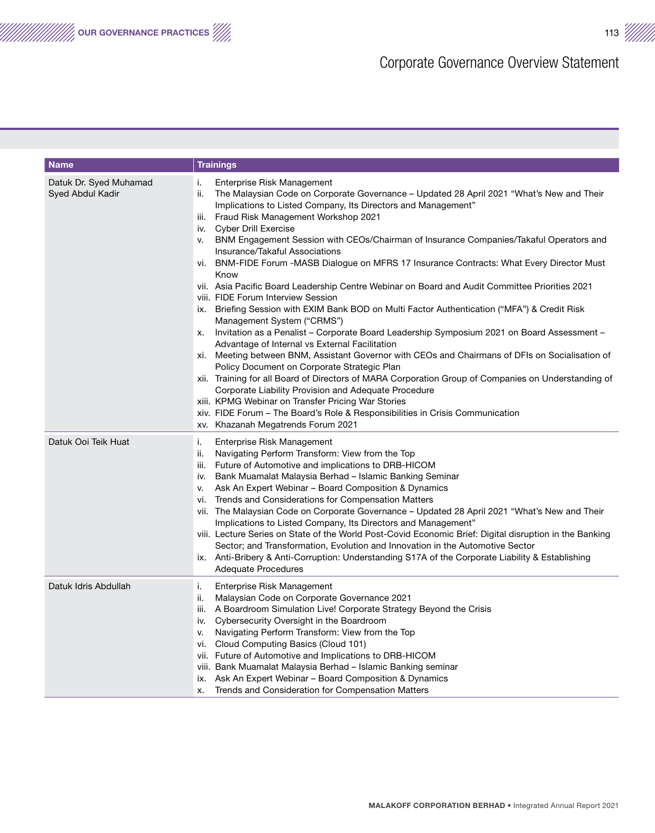| <b>Name</b>                                | <b>Trainings</b>                                                                                                                                                                                                                                                                                                                                                                                                                                                                                                                                                                                                                                                                                                                                                                                                                                                                                                                                                                                                                                                                                                                                                                                                                                                                                                                                                                                                                               |
|--------------------------------------------|------------------------------------------------------------------------------------------------------------------------------------------------------------------------------------------------------------------------------------------------------------------------------------------------------------------------------------------------------------------------------------------------------------------------------------------------------------------------------------------------------------------------------------------------------------------------------------------------------------------------------------------------------------------------------------------------------------------------------------------------------------------------------------------------------------------------------------------------------------------------------------------------------------------------------------------------------------------------------------------------------------------------------------------------------------------------------------------------------------------------------------------------------------------------------------------------------------------------------------------------------------------------------------------------------------------------------------------------------------------------------------------------------------------------------------------------|
| Datuk Dr. Syed Muhamad<br>Syed Abdul Kadir | Enterprise Risk Management<br>i.<br>The Malaysian Code on Corporate Governance – Updated 28 April 2021 "What's New and Their<br>ii.<br>Implications to Listed Company, Its Directors and Management"<br>iii. Fraud Risk Management Workshop 2021<br>iv. Cyber Drill Exercise<br>BNM Engagement Session with CEOs/Chairman of Insurance Companies/Takaful Operators and<br>v.<br>Insurance/Takaful Associations<br>vi. BNM-FIDE Forum -MASB Dialogue on MFRS 17 Insurance Contracts: What Every Director Must<br>Know<br>vii. Asia Pacific Board Leadership Centre Webinar on Board and Audit Committee Priorities 2021<br>viii. FIDE Forum Interview Session<br>ix. Briefing Session with EXIM Bank BOD on Multi Factor Authentication ("MFA") & Credit Risk<br>Management System ("CRMS")<br>Invitation as a Penalist - Corporate Board Leadership Symposium 2021 on Board Assessment -<br>х.<br>Advantage of Internal vs External Facilitation<br>xi. Meeting between BNM, Assistant Governor with CEOs and Chairmans of DFIs on Socialisation of<br>Policy Document on Corporate Strategic Plan<br>xii. Training for all Board of Directors of MARA Corporation Group of Companies on Understanding of<br>Corporate Liability Provision and Adequate Procedure<br>xiii. KPMG Webinar on Transfer Pricing War Stories<br>xiv. FIDE Forum – The Board's Role & Responsibilities in Crisis Communication<br>xv. Khazanah Megatrends Forum 2021 |
| Datuk Ooi Teik Huat                        | Enterprise Risk Management<br>i.<br>Navigating Perform Transform: View from the Top<br>ii.<br>iii. Future of Automotive and implications to DRB-HICOM<br>iv. Bank Muamalat Malaysia Berhad – Islamic Banking Seminar<br>Ask An Expert Webinar - Board Composition & Dynamics<br>v.<br>Trends and Considerations for Compensation Matters<br>vi.<br>vii. The Malaysian Code on Corporate Governance – Updated 28 April 2021 "What's New and Their<br>Implications to Listed Company, Its Directors and Management"<br>viii. Lecture Series on State of the World Post-Covid Economic Brief: Digital disruption in the Banking<br>Sector; and Transformation, Evolution and Innovation in the Automotive Sector<br>ix. Anti-Bribery & Anti-Corruption: Understanding S17A of the Corporate Liability & Establishing<br><b>Adequate Procedures</b>                                                                                                                                                                                                                                                                                                                                                                                                                                                                                                                                                                                                |
| Datuk Idris Abdullah                       | Enterprise Risk Management<br>i.<br>ii.<br>Malaysian Code on Corporate Governance 2021<br>iii. A Boardroom Simulation Live! Corporate Strategy Beyond the Crisis<br>iv. Cybersecurity Oversight in the Boardroom<br>Navigating Perform Transform: View from the Top<br>v.<br>vi. Cloud Computing Basics (Cloud 101)<br>vii. Future of Automotive and Implications to DRB-HICOM<br>viii. Bank Muamalat Malaysia Berhad – Islamic Banking seminar<br>ix. Ask An Expert Webinar – Board Composition & Dynamics<br>Trends and Consideration for Compensation Matters<br>х.                                                                                                                                                                                                                                                                                                                                                                                                                                                                                                                                                                                                                                                                                                                                                                                                                                                                         |

We our GOVERNANCE PRACTICES  $\lll$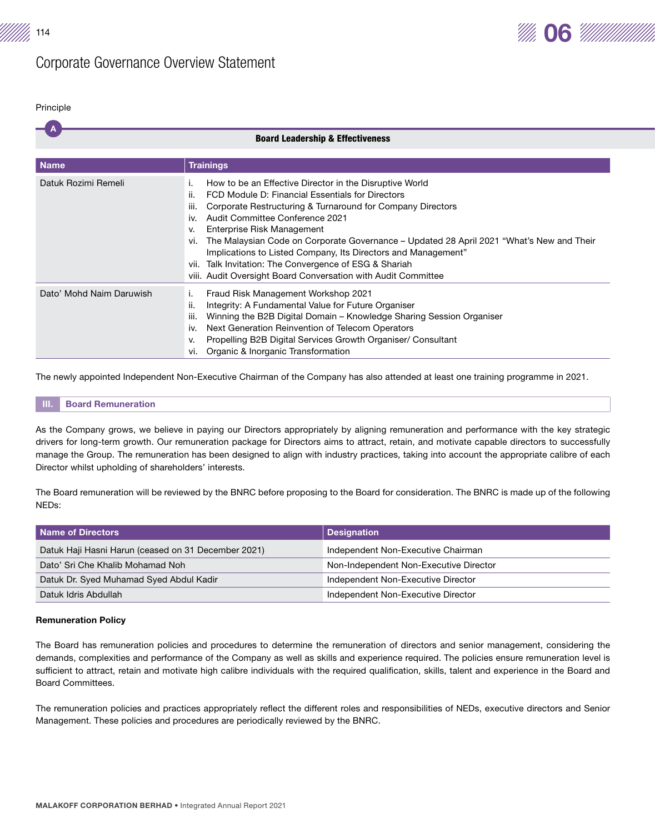

#### Principle

|                          | <b>Board Leadership &amp; Effectiveness</b>                                                                                                                                                                                                                                                                                                                                                                                                                                                                                                                                  |
|--------------------------|------------------------------------------------------------------------------------------------------------------------------------------------------------------------------------------------------------------------------------------------------------------------------------------------------------------------------------------------------------------------------------------------------------------------------------------------------------------------------------------------------------------------------------------------------------------------------|
|                          |                                                                                                                                                                                                                                                                                                                                                                                                                                                                                                                                                                              |
| <b>Name</b>              | <b>Trainings</b>                                                                                                                                                                                                                                                                                                                                                                                                                                                                                                                                                             |
| Datuk Rozimi Remeli      | How to be an Effective Director in the Disruptive World<br>ι.<br>ii.<br>FCD Module D: Financial Essentials for Directors<br>Corporate Restructuring & Turnaround for Company Directors<br>ш.<br>Audit Committee Conference 2021<br>iv.<br>Enterprise Risk Management<br>v.<br>The Malaysian Code on Corporate Governance – Updated 28 April 2021 "What's New and Their<br>vi.<br>Implications to Listed Company, Its Directors and Management"<br>Talk Invitation: The Convergence of ESG & Shariah<br>vii.<br>viii. Audit Oversight Board Conversation with Audit Committee |
| Dato' Mohd Naim Daruwish | Fraud Risk Management Workshop 2021<br>Integrity: A Fundamental Value for Future Organiser<br>н.<br>Winning the B2B Digital Domain – Knowledge Sharing Session Organiser<br>iii.<br>Next Generation Reinvention of Telecom Operators<br>iv.<br>Propelling B2B Digital Services Growth Organiser/ Consultant<br>٧.<br>Organic & Inorganic Transformation<br>vı.                                                                                                                                                                                                               |

The newly appointed Independent Non-Executive Chairman of the Company has also attended at least one training programme in 2021.

# **III.** Board Remuneration

As the Company grows, we believe in paying our Directors appropriately by aligning remuneration and performance with the key strategic drivers for long-term growth. Our remuneration package for Directors aims to attract, retain, and motivate capable directors to successfully manage the Group. The remuneration has been designed to align with industry practices, taking into account the appropriate calibre of each Director whilst upholding of shareholders' interests.

The Board remuneration will be reviewed by the BNRC before proposing to the Board for consideration. The BNRC is made up of the following NEDs:

| Name of Directors                                   | <b>Designation</b>                     |
|-----------------------------------------------------|----------------------------------------|
| Datuk Haji Hasni Harun (ceased on 31 December 2021) | Independent Non-Executive Chairman     |
| Dato' Sri Che Khalib Mohamad Noh                    | Non-Independent Non-Executive Director |
| Datuk Dr. Syed Muhamad Syed Abdul Kadir             | Independent Non-Executive Director     |
| Datuk Idris Abdullah                                | Independent Non-Executive Director     |

# Remuneration Policy

The Board has remuneration policies and procedures to determine the remuneration of directors and senior management, considering the demands, complexities and performance of the Company as well as skills and experience required. The policies ensure remuneration level is sufficient to attract, retain and motivate high calibre individuals with the required qualification, skills, talent and experience in the Board and Board Committees.

The remuneration policies and practices appropriately reflect the different roles and responsibilities of NEDs, executive directors and Senior Management. These policies and procedures are periodically reviewed by the BNRC.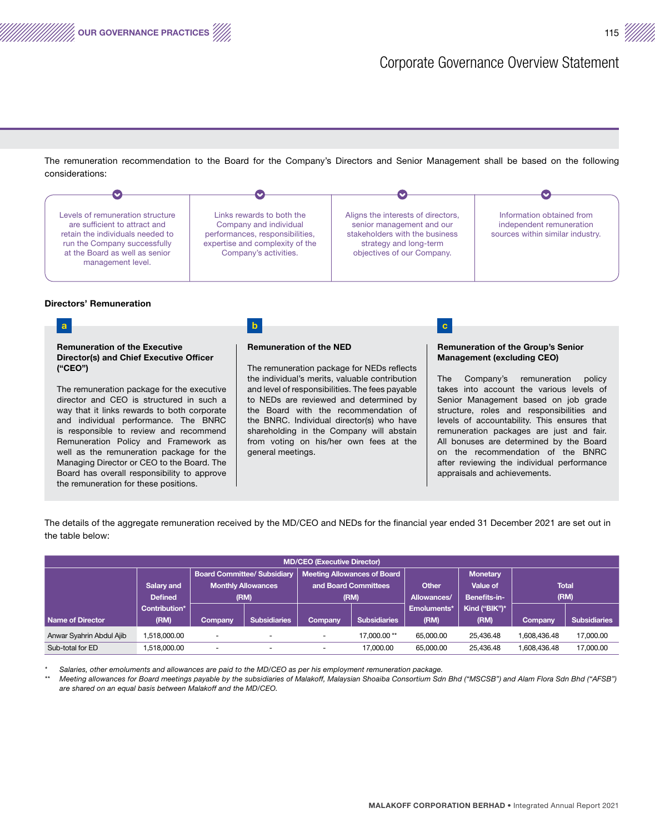The remuneration recommendation to the Board for the Company's Directors and Senior Management shall be based on the following considerations:

OUR GOVERNANCE PRACTICES 115



# Directors' Remuneration

the remuneration for these positions.

a b c contract to b c contract the contract of  $\mathbf{b}$ Remuneration of the Executive Director(s) and Chief Executive Officer ("CEO") The remuneration package for the executive director and CEO is structured in such a way that it links rewards to both corporate and individual performance. The BNRC is responsible to review and recommend Remuneration Policy and Framework as well as the remuneration package for the Managing Director or CEO to the Board. The Board has overall responsibility to approve Remuneration of the NED The remuneration package for NEDs reflects the individual's merits, valuable contribution and level of responsibilities. The fees payable to NEDs are reviewed and determined by the Board with the recommendation of the BNRC. Individual director(s) who have shareholding in the Company will abstain from voting on his/her own fees at the general meetings. Remuneration of the Group's Senior Management (excluding CEO) The Company's remuneration policy takes into account the various levels of Senior Management based on job grade structure, roles and responsibilities and levels of accountability. This ensures that remuneration packages are just and fair. All bonuses are determined by the Board on the recommendation of the BNRC after reviewing the individual performance appraisals and achievements.

The details of the aggregate remuneration received by the MD/CEO and NEDs for the financial year ended 31 December 2021 are set out in the table below:

| <b>MD/CEO (Executive Director)</b> |                |                           |                                    |                                    |              |             |                 |                |                     |
|------------------------------------|----------------|---------------------------|------------------------------------|------------------------------------|--------------|-------------|-----------------|----------------|---------------------|
|                                    |                |                           | <b>Board Committee/ Subsidiary</b> | <b>Meeting Allowances of Board</b> |              |             | <b>Monetary</b> |                |                     |
|                                    | Salary and     | <b>Monthly Allowances</b> |                                    | and Board Committees               |              | Other       | Value of        | <b>Total</b>   |                     |
|                                    | <b>Defined</b> | (RM)                      |                                    | (RM)                               |              | Allowances/ | Benefits-in-    |                | (RM)                |
|                                    | Contribution*  |                           |                                    |                                    |              | Emoluments* | Kind ("BIK")*   |                |                     |
| Name of Director                   | (RM)           | <b>Company</b>            | <b>Subsidiaries</b>                | Company                            | Subsidiaries | (RM)        | (RM)            | <b>Company</b> | <b>Subsidiaries</b> |
| Anwar Syahrin Abdul Ajib           | 1.518.000.00   | -                         | ٠                                  |                                    | 17.000.00**  | 65,000,00   | 25.436.48       | 1.608.436.48   | 17,000.00           |
| Sub-total for ED                   | 1.518.000.00   | $\overline{\phantom{a}}$  | ۰                                  | $\overline{\phantom{0}}$           | 17.000.00    | 65,000,00   | 25.436.48       | 1.608.436.48   | 17,000.00           |

*\* Salaries, other emoluments and allowances are paid to the MD/CEO as per his employment remuneration package.*

*\*\* Meeting allowances for Board meetings payable by the subsidiaries of Malakoff, Malaysian Shoaiba Consortium Sdn Bhd ("MSCSB") and Alam Flora Sdn Bhd ("AFSB") are shared on an equal basis between Malakoff and the MD/CEO.*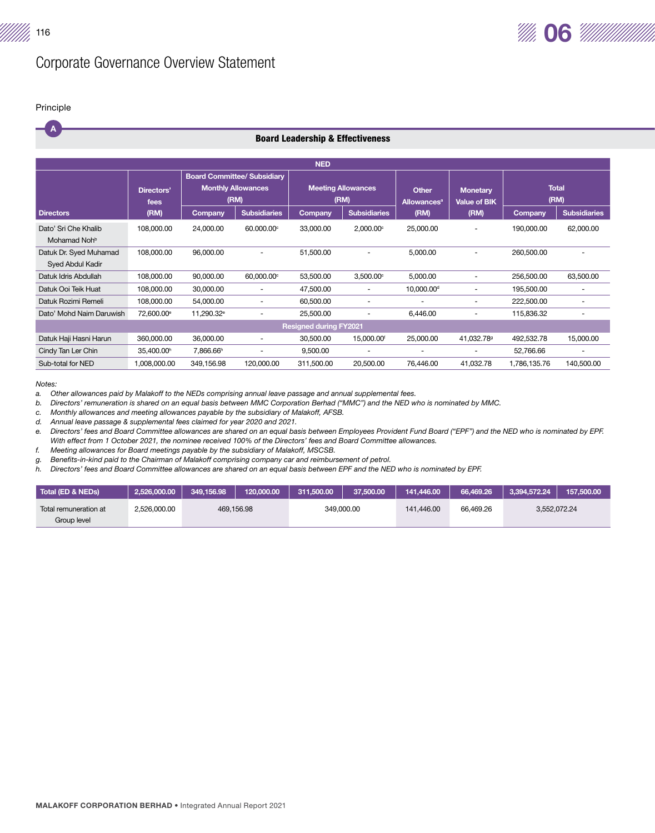

# A Principle

|  |  | <b>Board Leadership &amp; Effectiveness</b> |
|--|--|---------------------------------------------|
|  |  |                                             |

|                                                   | <b>NED</b>             |                                                                         |                          |                                   |                          |                                               |                                        |                      |                          |
|---------------------------------------------------|------------------------|-------------------------------------------------------------------------|--------------------------|-----------------------------------|--------------------------|-----------------------------------------------|----------------------------------------|----------------------|--------------------------|
|                                                   | Directors'<br>fees     | <b>Board Committee/ Subsidiary</b><br><b>Monthly Allowances</b><br>(RM) |                          | <b>Meeting Allowances</b><br>(RM) |                          | <b>Other</b><br><b>Allowances<sup>a</sup></b> | <b>Monetary</b><br><b>Value of BIK</b> | <b>Total</b><br>(RM) |                          |
| <b>Directors</b>                                  | (RM)                   | Company                                                                 | <b>Subsidiaries</b>      | Company                           | <b>Subsidiaries</b>      | (RM)                                          | (RM)                                   | <b>Company</b>       | <b>Subsidiaries</b>      |
| Dato' Sri Che Khalib<br>Mohamad Noh <sup>b</sup>  | 108,000.00             | 24,000.00                                                               | 60.000.00°               | 33,000.00                         | $2,000.00^{\circ}$       | 25,000.00                                     | ٠                                      | 190,000.00           | 62,000.00                |
| Datuk Dr. Syed Muhamad<br><b>Syed Abdul Kadir</b> | 108,000.00             | 96,000.00                                                               | ٠                        | 51,500.00                         | $\overline{\phantom{0}}$ | 5,000.00                                      | ٠                                      | 260,500.00           |                          |
| Datuk Idris Abdullah                              | 108,000.00             | 90,000.00                                                               | 60,000.00°               | 53,500.00                         | $3,500.00$ <sup>c</sup>  | 5,000.00                                      |                                        | 256,500.00           | 63,500.00                |
| Datuk Ooi Teik Huat                               | 108,000.00             | 30,000.00                                                               | $\overline{\phantom{0}}$ | 47,500.00                         |                          | 10,000.00 <sup>d</sup>                        | ٠                                      | 195,500.00           |                          |
| Datuk Rozimi Remeli                               | 108,000.00             | 54,000.00                                                               | $\overline{\phantom{a}}$ | 60,500.00                         | ٠                        | ٠                                             | ٠                                      | 222,500.00           | $\overline{\phantom{0}}$ |
| Dato' Mohd Naim Daruwish                          | 72,600.00 <sup>e</sup> | 11,290.32 <sup>e</sup>                                                  |                          | 25,500.00                         |                          | 6,446.00                                      | $\overline{\phantom{a}}$               | 115,836.32           |                          |
|                                                   |                        |                                                                         |                          | <b>Resigned during FY2021</b>     |                          |                                               |                                        |                      |                          |
| Datuk Haji Hasni Harun                            | 360.000.00             | 36,000,00                                                               | $\overline{\phantom{a}}$ | 30,500.00                         | 15,000.00 <sup>f</sup>   | 25,000,00                                     | 41,032.789                             | 492,532.78           | 15,000.00                |
| Cindy Tan Ler Chin                                | 35,400.00h             | 7,866.66h                                                               |                          | 9,500.00                          | ۰                        | $\overline{\phantom{a}}$                      | $\overline{\phantom{a}}$               | 52,766.66            |                          |
| Sub-total for NED                                 | 1.008.000.00           | 349.156.98                                                              | 120.000.00               | 311,500.00                        | 20,500.00                | 76.446.00                                     | 41,032.78                              | 1,786,135.76         | 140.500.00               |

#### *Notes:*

*a. Other allowances paid by Malakoff to the NEDs comprising annual leave passage and annual supplemental fees.* 

*b. Directors' remuneration is shared on an equal basis between MMC Corporation Berhad ("MMC") and the NED who is nominated by MMC.*

*c. Monthly allowances and meeting allowances payable by the subsidiary of Malakoff, AFSB.*

*d. Annual leave passage & supplemental fees claimed for year 2020 and 2021.*

*e. Directors' fees and Board Committee allowances are shared on an equal basis between Employees Provident Fund Board ("EPF") and the NED who is nominated by EPF. With effect from 1 October 2021, the nominee received 100% of the Directors' fees and Board Committee allowances.*

*f. Meeting allowances for Board meetings payable by the subsidiary of Malakoff, MSCSB.*

*g. Benefits-in-kind paid to the Chairman of Malakoff comprising company car and reimbursement of petrol.* 

*h. Directors' fees and Board Committee allowances are shared on an equal basis between EPF and the NED who is nominated by EPF.*

| Total (ED & NEDs)     | 2.526,000.00 | 349.156.98 | 120,000,00 | 311.500.00 | 37,500,00 | 141.446.00 | 66,469.26 | 3.394.572.24 | 157,500,00 |
|-----------------------|--------------|------------|------------|------------|-----------|------------|-----------|--------------|------------|
| Total remuneration at | 2.526.000.00 |            | 469.156.98 | 349.000.00 |           | 141.446.00 | 66.469.26 | 3.552.072.24 |            |
| Group level           |              |            |            |            |           |            |           |              |            |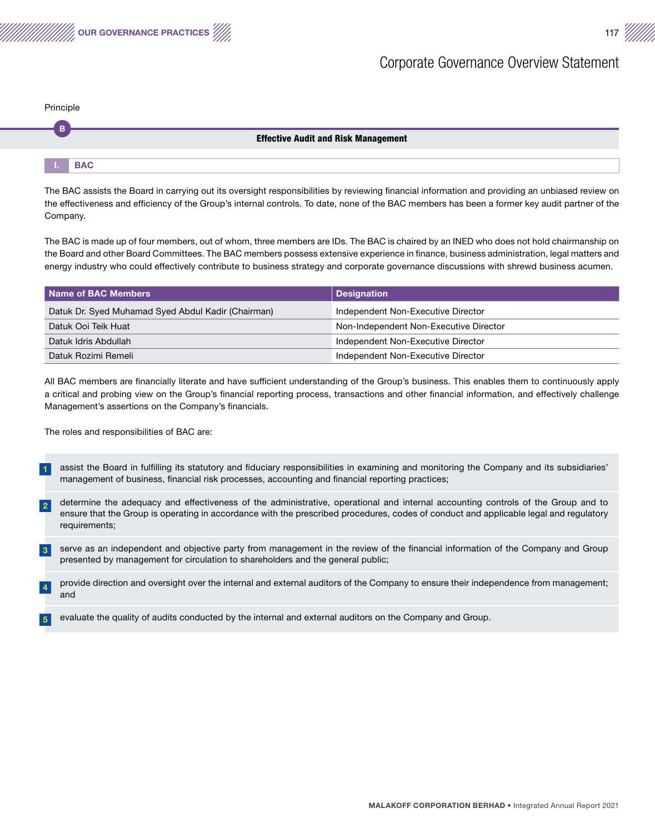

| Principle |  |
|-----------|--|
|           |  |

## Effective Audit and Risk Management

|  | <b>THE BAC</b><br>$-1$ |  |  |  |  |  |  |
|--|------------------------|--|--|--|--|--|--|

The BAC assists the Board in carrying out its oversight responsibilities by reviewing financial information and providing an unbiased review on the effectiveness and efficiency of the Group's internal controls. To date, none of the BAC members has been a former key audit partner of the Company.

The BAC is made up of four members, out of whom, three members are IDs. The BAC is chaired by an INED who does not hold chairmanship on the Board and other Board Committees. The BAC members possess extensive experience in finance, business administration, legal matters and energy industry who could effectively contribute to business strategy and corporate governance discussions with shrewd business acumen.

| Name of BAC Members                                | <b>Designation</b>                     |
|----------------------------------------------------|----------------------------------------|
| Datuk Dr. Syed Muhamad Syed Abdul Kadir (Chairman) | Independent Non-Executive Director     |
| Datuk Ooi Teik Huat                                | Non-Independent Non-Executive Director |
| Datuk Idris Abdullah                               | Independent Non-Executive Director     |
| Datuk Rozimi Remeli                                | Independent Non-Executive Director     |

All BAC members are financially literate and have sufficient understanding of the Group's business. This enables them to continuously apply a critical and probing view on the Group's financial reporting process, transactions and other financial information, and effectively challenge Management's assertions on the Company's financials.

The roles and responsibilities of BAC are:

- 1 assist the Board in fulfilling its statutory and fiduciary responsibilities in examining and monitoring the Company and its subsidiaries' management of business, financial risk processes, accounting and financial reporting practices;
- 2 determine the adequacy and effectiveness of the administrative, operational and internal accounting controls of the Group and to ensure that the Group is operating in accordance with the prescribed procedures, codes of conduct and applicable legal and regulatory requirements;

3 serve as an independent and objective party from management in the review of the financial information of the Company and Group presented by management for circulation to shareholders and the general public;

- 4 provide direction and oversight over the internal and external auditors of the Company to ensure their independence from management; and
- 5 evaluate the quality of audits conducted by the internal and external auditors on the Company and Group.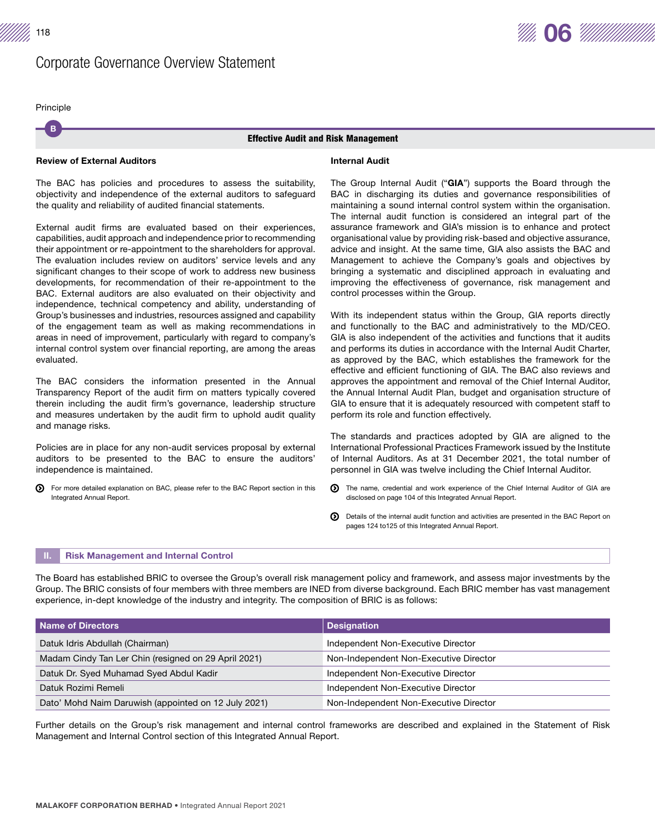B Principle

#### Effective Audit and Risk Management

## Review of External Auditors

The BAC has policies and procedures to assess the suitability, objectivity and independence of the external auditors to safeguard the quality and reliability of audited financial statements.

External audit firms are evaluated based on their experiences, capabilities, audit approach and independence prior to recommending their appointment or re-appointment to the shareholders for approval. The evaluation includes review on auditors' service levels and any significant changes to their scope of work to address new business developments, for recommendation of their re-appointment to the BAC. External auditors are also evaluated on their objectivity and independence, technical competency and ability, understanding of Group's businesses and industries, resources assigned and capability of the engagement team as well as making recommendations in areas in need of improvement, particularly with regard to company's internal control system over financial reporting, are among the areas evaluated.

The BAC considers the information presented in the Annual Transparency Report of the audit firm on matters typically covered therein including the audit firm's governance, leadership structure and measures undertaken by the audit firm to uphold audit quality and manage risks.

Policies are in place for any non-audit services proposal by external auditors to be presented to the BAC to ensure the auditors' independence is maintained.

For more detailed explanation on BAC, please refer to the BAC Report section in this ര Integrated Annual Report.

#### Internal Audit

The Group Internal Audit ("GIA") supports the Board through the BAC in discharging its duties and governance responsibilities of maintaining a sound internal control system within the organisation. The internal audit function is considered an integral part of the assurance framework and GIA's mission is to enhance and protect organisational value by providing risk-based and objective assurance, advice and insight. At the same time, GIA also assists the BAC and Management to achieve the Company's goals and objectives by bringing a systematic and disciplined approach in evaluating and improving the effectiveness of governance, risk management and control processes within the Group.

With its independent status within the Group, GIA reports directly and functionally to the BAC and administratively to the MD/CEO. GIA is also independent of the activities and functions that it audits and performs its duties in accordance with the Internal Audit Charter, as approved by the BAC, which establishes the framework for the effective and efficient functioning of GIA. The BAC also reviews and approves the appointment and removal of the Chief Internal Auditor, the Annual Internal Audit Plan, budget and organisation structure of GIA to ensure that it is adequately resourced with competent staff to perform its role and function effectively.

The standards and practices adopted by GIA are aligned to the International Professional Practices Framework issued by the Institute of Internal Auditors. As at 31 December 2021, the total number of personnel in GIA was twelve including the Chief Internal Auditor.

- The name, credential and work experience of the Chief Internal Auditor of GIA are ത disclosed on page 104 of this Integrated Annual Report.
- Details of the internal audit function and activities are presented in the BAC Report on pages 124 to125 of this Integrated Annual Report.

#### **Risk Management and Internal Control**

The Board has established BRIC to oversee the Group's overall risk management policy and framework, and assess major investments by the Group. The BRIC consists of four members with three members are INED from diverse background. Each BRIC member has vast management experience, in-dept knowledge of the industry and integrity. The composition of BRIC is as follows:

| Name of Directors                                    | <b>Designation</b>                     |
|------------------------------------------------------|----------------------------------------|
| Datuk Idris Abdullah (Chairman)                      | Independent Non-Executive Director     |
| Madam Cindy Tan Ler Chin (resigned on 29 April 2021) | Non-Independent Non-Executive Director |
| Datuk Dr. Syed Muhamad Syed Abdul Kadir              | Independent Non-Executive Director     |
| Datuk Rozimi Remeli                                  | Independent Non-Executive Director     |
| Dato' Mohd Naim Daruwish (appointed on 12 July 2021) | Non-Independent Non-Executive Director |

Further details on the Group's risk management and internal control frameworks are described and explained in the Statement of Risk Management and Internal Control section of this Integrated Annual Report.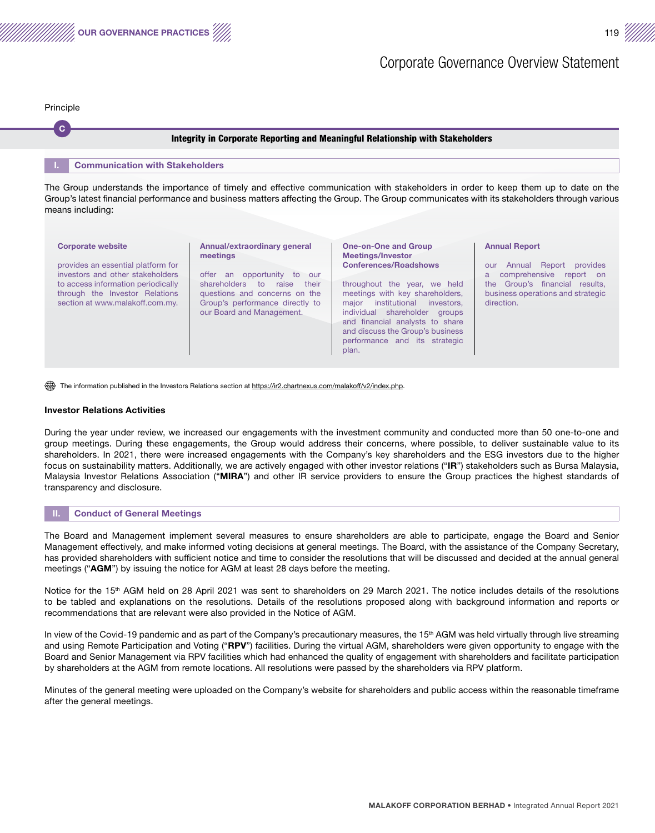

 $\mathbf{C}$ Principle

#### Integrity in Corporate Reporting and Meaningful Relationship with Stakeholders

#### **Communication with Stakeholders**

The Group understands the importance of timely and effective communication with stakeholders in order to keep them up to date on the Group's latest financial performance and business matters affecting the Group. The Group communicates with its stakeholders through various means including:

#### Corporate website

Annual/extraordinary general meetings

investors and other stakeholders to access information periodically through the Investor Relations section at www.malakoff.com.my.

provides an essential platform for

offer an opportunity to our shareholders to raise their questions and concerns on the Group's performance directly to our Board and Management.

#### One-on-One and Group Meetings/Investor Conferences/Roadshows

throughout the year, we held meetings with key shareholders, major institutional investors, individual shareholder groups and financial analysts to share and discuss the Group's business performance and its strategic plan.

#### Annual Report

our Annual Report provides a comprehensive report on the Group's financial results, business operations and strategic direction.

The information published in the Investors Relations section at https://ir2.chartnexus.com/malakoff/v2/index.php

#### Investor Relations Activities

During the year under review, we increased our engagements with the investment community and conducted more than 50 one-to-one and group meetings. During these engagements, the Group would address their concerns, where possible, to deliver sustainable value to its shareholders. In 2021, there were increased engagements with the Company's key shareholders and the ESG investors due to the higher focus on sustainability matters. Additionally, we are actively engaged with other investor relations ("IR") stakeholders such as Bursa Malaysia, Malaysia Investor Relations Association ("MIRA") and other IR service providers to ensure the Group practices the highest standards of transparency and disclosure.

#### **Conduct of General Meetings**

The Board and Management implement several measures to ensure shareholders are able to participate, engage the Board and Senior Management effectively, and make informed voting decisions at general meetings. The Board, with the assistance of the Company Secretary, has provided shareholders with sufficient notice and time to consider the resolutions that will be discussed and decided at the annual general meetings ("AGM") by issuing the notice for AGM at least 28 days before the meeting.

Notice for the 15<sup>th</sup> AGM held on 28 April 2021 was sent to shareholders on 29 March 2021. The notice includes details of the resolutions to be tabled and explanations on the resolutions. Details of the resolutions proposed along with background information and reports or recommendations that are relevant were also provided in the Notice of AGM.

In view of the Covid-19 pandemic and as part of the Company's precautionary measures, the 15<sup>th</sup> AGM was held virtually through live streaming and using Remote Participation and Voting ("RPV") facilities. During the virtual AGM, shareholders were given opportunity to engage with the Board and Senior Management via RPV facilities which had enhanced the quality of engagement with shareholders and facilitate participation by shareholders at the AGM from remote locations. All resolutions were passed by the shareholders via RPV platform.

Minutes of the general meeting were uploaded on the Company's website for shareholders and public access within the reasonable timeframe after the general meetings.